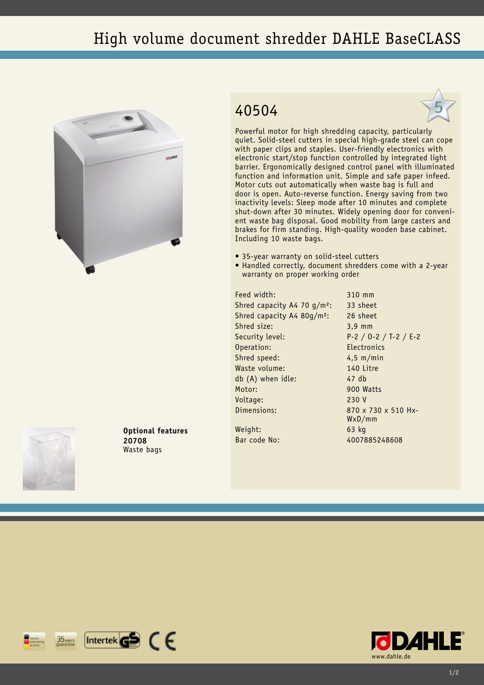## High volume document shredder DAHLE BaseCLASS



## 40504



Powerful motor for high shredding capacity, particularly quiet. Solid-steel cutters in special high-grade steel can cope with paper clips and staples. User-friendly electronics with electronic start/stop function controlled by integrated light barrier. Ergonomically designed control panel with illuminated function and information unit. Simple and safe paper infeed. Motor cuts out automatically when waste bag is full and door is open. Auto-reverse function. Energy saving from two inactivity levels: Sleep mode after 10 minutes and complete shut-down after 30 minutes. Widely opening door for convenient waste bag disposal. Good mobility from large casters and brakes for firm standing. High-quality wooden base cabinet. Including 10 waste bags.

- 35-year warranty on solid-steel cutters
- Handled correctly, document shredders come with a 2-year warranty on proper working order

Feed width: 310 mm Shred capacity A4 70 g/m<sup>2</sup>: 33 sheet Shred capacity A4 80g/m²: 26 sheet Shred size: 3,9 mm Security level: P-2 / O-2 / T-2 / E-2 Operation: Electronics Shred speed: 4,5 m/min Waste volume: 140 Litre db (A) when idle: 47 db Motor: 900 Watts Voltage: 230 V Dimensions: 870 x 730 x 510 Hx-

WxD/mm





**Optional features 20708** Waste bags